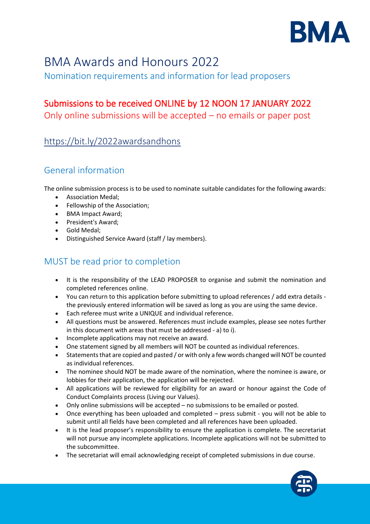

# BMA Awards and Honours 2022

Nomination requirements and information for lead proposers

### Submissions to be received ONLINE by 12 NOON 17 JANUARY 2022

Only online submissions will be accepted – no emails or paper post

### <https://bit.ly/2022awardsandhons>

### General information

The online submission process is to be used to nominate suitable candidates for the following awards:

- Association Medal;
- Fellowship of the Association;
- BMA Impact Award;
- President's Award;
- Gold Medal;
- Distinguished Service Award (staff / lay members).

## MUST be read prior to completion

- It is the responsibility of the LEAD PROPOSER to organise and submit the nomination and completed references online.
- You can return to this application before submitting to upload references / add extra details the previously entered information will be saved as long as you are using the same device.
- Each referee must write a UNIQUE and individual reference.
- All questions must be answered. References must include examples, please see notes further in this document with areas that must be addressed - a) to i).
- Incomplete applications may not receive an award.
- One statement signed by all members will NOT be counted as individual references.
- Statements that are copied and pasted / or with only a few words changed will NOT be counted as individual references.
- The nominee should NOT be made aware of the nomination, where the nominee is aware, or lobbies for their application, the application will be rejected.
- All applications will be reviewed for eligibility for an award or honour against the Code of Conduct Complaints process (Living our Values).
- Only online submissions will be accepted no submissions to be emailed or posted.
- Once everything has been uploaded and completed press submit you will not be able to submit until all fields have been completed and all references have been uploaded.
- It is the lead proposer's responsibility to ensure the application is complete. The secretariat will not pursue any incomplete applications. Incomplete applications will not be submitted to the subcommittee.
- The secretariat will email acknowledging receipt of completed submissions in due course.

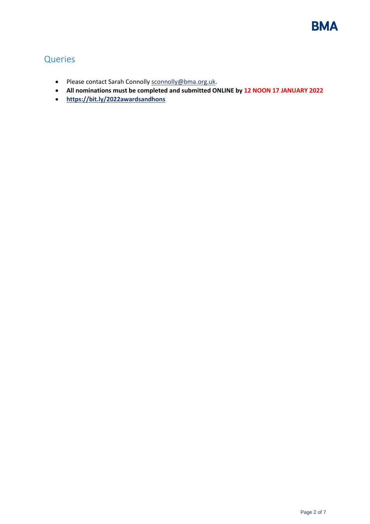

### Queries

- Please contact Sarah Connolly [sconnolly@bma.org.uk.](mailto:sconnolly@bma.org.uk)
- **All nominations must be completed and submitted ONLINE by 12 NOON 17 JANUARY 2022**
- **<https://bit.ly/2022awardsandhons>**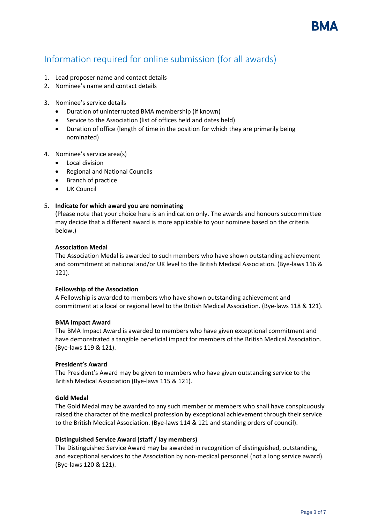

### Information required for online submission (for all awards)

- 1. Lead proposer name and contact details
- 2. Nominee's name and contact details
- 3. Nominee's service details
	- Duration of uninterrupted BMA membership (if known)
	- Service to the Association (list of offices held and dates held)
	- Duration of office (length of time in the position for which they are primarily being nominated)
- 4. Nominee's service area(s)
	- Local division
	- Regional and National Councils
	- Branch of practice
	- UK Council

#### 5. **Indicate for which award you are nominating**

(Please note that your choice here is an indication only. The awards and honours subcommittee may decide that a different award is more applicable to your nominee based on the criteria below.)

#### **Association Medal**

The Association Medal is awarded to such members who have shown outstanding achievement and commitment at national and/or UK level to the British Medical Association. (Bye-laws 116 & 121).

#### **Fellowship of the Association**

A Fellowship is awarded to members who have shown outstanding achievement and commitment at a local or regional level to the British Medical Association. (Bye-laws 118 & 121).

#### **BMA Impact Award**

The BMA Impact Award is awarded to members who have given exceptional commitment and have demonstrated a tangible beneficial impact for members of the British Medical Association. (Bye-laws 119 & 121).

#### **President's Award**

The President's Award may be given to members who have given outstanding service to the British Medical Association (Bye-laws 115 & 121).

#### **Gold Medal**

The Gold Medal may be awarded to any such member or members who shall have conspicuously raised the character of the medical profession by exceptional achievement through their service to the British Medical Association. (Bye-laws 114 & 121 and standing orders of council).

#### **Distinguished Service Award (staff / lay members)**

The Distinguished Service Award may be awarded in recognition of distinguished, outstanding, and exceptional services to the Association by non-medical personnel (not a long service award). (Bye-laws 120 & 121).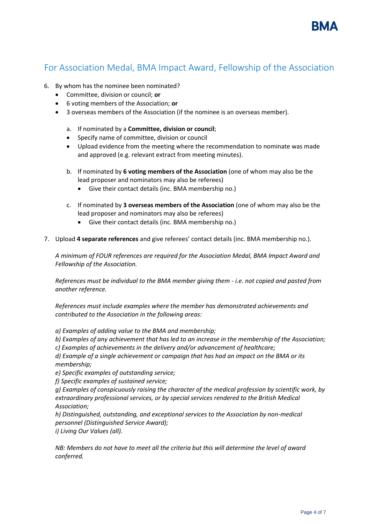

### For Association Medal, BMA Impact Award, Fellowship of the Association

- 6. By whom has the nominee been nominated?
	- Committee, division or council; **or**
	- 6 voting members of the Association; **or**
	- 3 overseas members of the Association (if the nominee is an overseas member).
		- a. If nominated by a **Committee, division or council**;
		- Specify name of committee, division or council
		- Upload evidence from the meeting where the recommendation to nominate was made and approved (e.g. relevant extract from meeting minutes).
		- b. If nominated by **6 voting members of the Association** (one of whom may also be the lead proposer and nominators may also be referees)
			- Give their contact details (inc. BMA membership no.)
		- c. If nominated by **3 overseas members of the Association** (one of whom may also be the lead proposer and nominators may also be referees)
			- Give their contact details (inc. BMA membership no.)
- 7. Upload **4 separate references** and give referees' contact details (inc. BMA membership no.).

*A minimum of FOUR references are required for the Association Medal, BMA Impact Award and Fellowship of the Association.*

*References must be individual to the BMA member giving them - i.e. not copied and pasted from another reference.*

*References must include examples where the member has demonstrated achievements and contributed to the Association in the following areas:*

*a) Examples of adding value to the BMA and membership;*

*b) Examples of any achievement that has led to an increase in the membership of the Association; c) Examples of achievements in the delivery and/or advancement of healthcare;*

*d) Example of a single achievement or campaign that has had an impact on the BMA or its membership;*

*e) Specific examples of outstanding service;*

*f) Specific examples of sustained service;*

*g) Examples of conspicuously raising the character of the medical profession by scientific work, by extraordinary professional services, or by special services rendered to the British Medical Association;*

*h) Distinguished, outstanding, and exceptional services to the Association by non-medical personnel (Distinguished Service Award);*

*i) Living Our Values (all).*

*NB: Members do not have to meet all the criteria but this will determine the level of award conferred.*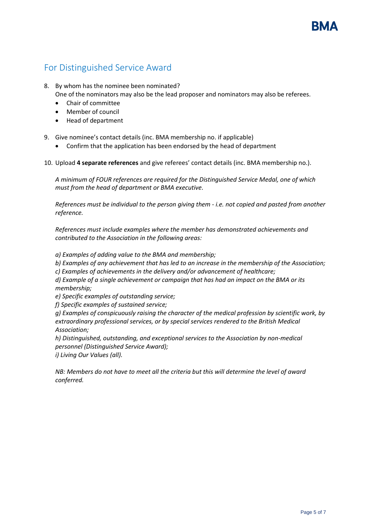### For Distinguished Service Award

8. By whom has the nominee been nominated?

- One of the nominators may also be the lead proposer and nominators may also be referees.
- Chair of committee
- Member of council
- Head of department
- 9. Give nominee's contact details (inc. BMA membership no. if applicable)
	- Confirm that the application has been endorsed by the head of department
- 10. Upload **4 separate references** and give referees' contact details (inc. BMA membership no.).

*A minimum of FOUR references are required for the Distinguished Service Medal, one of which must from the head of department or BMA executive.*

*References must be individual to the person giving them - i.e. not copied and pasted from another reference.*

*References must include examples where the member has demonstrated achievements and contributed to the Association in the following areas:*

*a) Examples of adding value to the BMA and membership;*

*b) Examples of any achievement that has led to an increase in the membership of the Association;*

*c) Examples of achievements in the delivery and/or advancement of healthcare;*

*d) Example of a single achievement or campaign that has had an impact on the BMA or its membership;*

*e) Specific examples of outstanding service;*

*f) Specific examples of sustained service;*

*g) Examples of conspicuously raising the character of the medical profession by scientific work, by extraordinary professional services, or by special services rendered to the British Medical Association;*

*h) Distinguished, outstanding, and exceptional services to the Association by non-medical personnel (Distinguished Service Award);*

*i) Living Our Values (all).*

*NB: Members do not have to meet all the criteria but this will determine the level of award conferred.*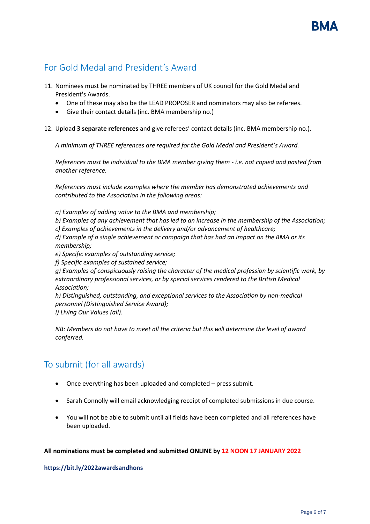### For Gold Medal and President's Award

- 11. Nominees must be nominated by THREE members of UK council for the Gold Medal and President's Awards.
	- One of these may also be the LEAD PROPOSER and nominators may also be referees.
	- Give their contact details (inc. BMA membership no.)
- 12. Upload **3 separate references** and give referees' contact details (inc. BMA membership no.).

*A minimum of THREE references are required for the Gold Medal and President's Award.*

*References must be individual to the BMA member giving them - i.e. not copied and pasted from another reference.*

*References must include examples where the member has demonstrated achievements and contributed to the Association in the following areas:*

*a) Examples of adding value to the BMA and membership;*

*b) Examples of any achievement that has led to an increase in the membership of the Association;*

*c) Examples of achievements in the delivery and/or advancement of healthcare;*

*d) Example of a single achievement or campaign that has had an impact on the BMA or its membership;*

*e) Specific examples of outstanding service;*

*f) Specific examples of sustained service;*

*g) Examples of conspicuously raising the character of the medical profession by scientific work, by extraordinary professional services, or by special services rendered to the British Medical Association;*

*h) Distinguished, outstanding, and exceptional services to the Association by non-medical personnel (Distinguished Service Award);*

*i) Living Our Values (all).*

*NB: Members do not have to meet all the criteria but this will determine the level of award conferred.*

### To submit (for all awards)

- Once everything has been uploaded and completed press submit.
- Sarah Connolly will email acknowledging receipt of completed submissions in due course.
- You will not be able to submit until all fields have been completed and all references have been uploaded.

#### **All nominations must be completed and submitted ONLINE by 12 NOON 17 JANUARY 2022**

**<https://bit.ly/2022awardsandhons>**